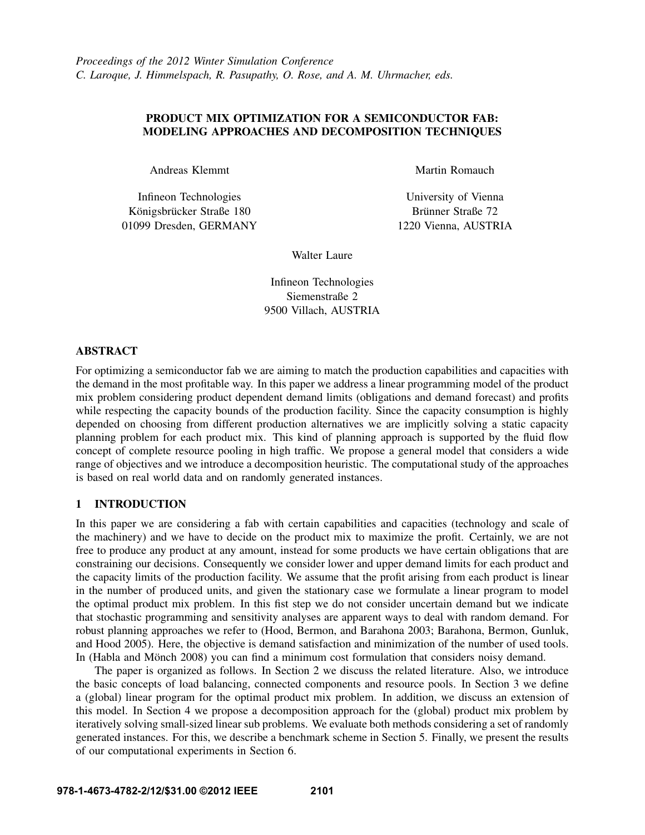# PRODUCT MIX OPTIMIZATION FOR A SEMICONDUCTOR FAB: MODELING APPROACHES AND DECOMPOSITION TECHNIQUES

Andreas Klemmt

Infineon Technologies Königsbrücker Straße 180 01099 Dresden, GERMANY Martin Romauch

University of Vienna Brünner Straße 72 1220 Vienna, AUSTRIA

Walter Laure

Infineon Technologies Siemenstraße 2 9500 Villach, AUSTRIA

### ABSTRACT

For optimizing a semiconductor fab we are aiming to match the production capabilities and capacities with the demand in the most profitable way. In this paper we address a linear programming model of the product mix problem considering product dependent demand limits (obligations and demand forecast) and profits while respecting the capacity bounds of the production facility. Since the capacity consumption is highly depended on choosing from different production alternatives we are implicitly solving a static capacity planning problem for each product mix. This kind of planning approach is supported by the fluid flow concept of complete resource pooling in high traffic. We propose a general model that considers a wide range of objectives and we introduce a decomposition heuristic. The computational study of the approaches is based on real world data and on randomly generated instances.

# 1 INTRODUCTION

In this paper we are considering a fab with certain capabilities and capacities (technology and scale of the machinery) and we have to decide on the product mix to maximize the profit. Certainly, we are not free to produce any product at any amount, instead for some products we have certain obligations that are constraining our decisions. Consequently we consider lower and upper demand limits for each product and the capacity limits of the production facility. We assume that the profit arising from each product is linear in the number of produced units, and given the stationary case we formulate a linear program to model the optimal product mix problem. In this fist step we do not consider uncertain demand but we indicate that stochastic programming and sensitivity analyses are apparent ways to deal with random demand. For robust planning approaches we refer to (Hood, Bermon, and Barahona 2003; Barahona, Bermon, Gunluk, and Hood 2005). Here, the objective is demand satisfaction and minimization of the number of used tools. In (Habla and Mönch 2008) you can find a minimum cost formulation that considers noisy demand.

The paper is organized as follows. In Section 2 we discuss the related literature. Also, we introduce the basic concepts of load balancing, connected components and resource pools. In Section 3 we define a (global) linear program for the optimal product mix problem. In addition, we discuss an extension of this model. In Section 4 we propose a decomposition approach for the (global) product mix problem by iteratively solving small-sized linear sub problems. We evaluate both methods considering a set of randomly generated instances. For this, we describe a benchmark scheme in Section 5. Finally, we present the results of our computational experiments in Section 6.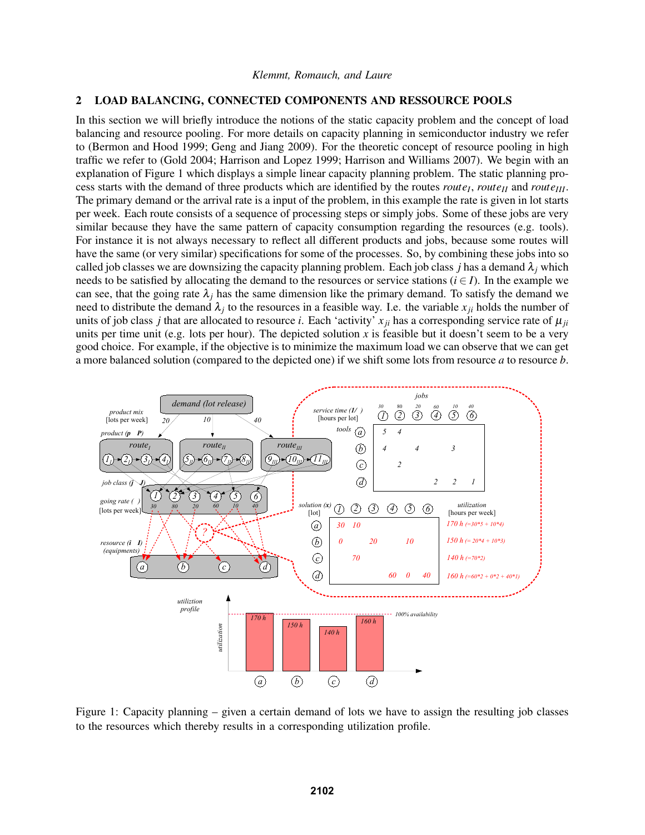#### 2 LOAD BALANCING, CONNECTED COMPONENTS AND RESSOURCE POOLS

In this section we will briefly introduce the notions of the static capacity problem and the concept of load balancing and resource pooling. For more details on capacity planning in semiconductor industry we refer to (Bermon and Hood 1999; Geng and Jiang 2009). For the theoretic concept of resource pooling in high traffic we refer to (Gold 2004; Harrison and Lopez 1999; Harrison and Williams 2007). We begin with an explanation of Figure 1 which displays a simple linear capacity planning problem. The static planning process starts with the demand of three products which are identified by the routes *route<sup>I</sup>* , *routeII* and *routeIII*. The primary demand or the arrival rate is a input of the problem, in this example the rate is given in lot starts per week. Each route consists of a sequence of processing steps or simply jobs. Some of these jobs are very similar because they have the same pattern of capacity consumption regarding the resources (e.g. tools). For instance it is not always necessary to reflect all different products and jobs, because some routes will have the same (or very similar) specifications for some of the processes. So, by combining these jobs into so called job classes we are downsizing the capacity planning problem. Each job class *j* has a demand  $\lambda_j$  which needs to be satisfied by allocating the demand to the resources or service stations ( $i \in I$ ). In the example we can see, that the going rate  $\lambda_j$  has the same dimension like the primary demand. To satisfy the demand we need to distribute the demand  $\lambda_j$  to the resources in a feasible way. I.e. the variable  $x_{ji}$  holds the number of units of job class *j* that are allocated to resource *i*. Each 'activity'  $x_{ji}$  has a corresponding service rate of  $\mu_{ji}$ units per time unit (e.g. lots per hour). The depicted solution  $x$  is feasible but it doesn't seem to be a very good choice. For example, if the objective is to minimize the maximum load we can observe that we can get a more balanced solution (compared to the depicted one) if we shift some lots from resource *a* to resource *b*.



Figure 1: Capacity planning – given a certain demand of lots we have to assign the resulting job classes to the resources which thereby results in a corresponding utilization profile.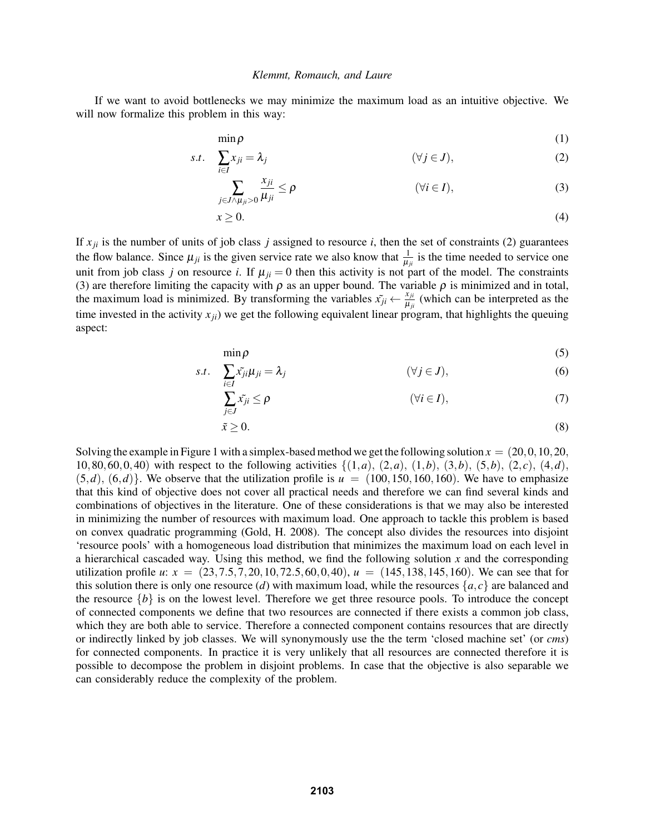If we want to avoid bottlenecks we may minimize the maximum load as an intuitive objective. We will now formalize this problem in this way:

$$
\min \rho \tag{1}
$$

s.t. 
$$
\sum_{i \in I} x_{ji} = \lambda_j \qquad (\forall j \in J),
$$
 (2)

$$
\sum_{j\in J\wedge\mu_{ji}>0}\frac{x_{ji}}{\mu_{ji}}\leq\rho\qquad\qquad\qquad(\forall i\in I),\qquad\qquad(3)
$$

$$
x \ge 0. \tag{4}
$$

If  $x_{ji}$  is the number of units of job class *j* assigned to resource *i*, then the set of constraints (2) guarantees the flow balance. Since  $\mu_{ji}$  is the given service rate we also know that  $\frac{1}{\mu_{ji}}$  is the time needed to service one unit from job class *j* on resource *i*. If  $\mu_{ji} = 0$  then this activity is not part of the model. The constraints (3) are therefore limiting the capacity with  $\rho$  as an upper bound. The variable  $\rho$  is minimized and in total, the maximum load is minimized. By transforming the variables  $\tilde{x_{ji}} \leftarrow \frac{x_{ji}}{u_i}$  $\frac{x_{ji}}{\mu_{ji}}$  (which can be interpreted as the time invested in the activity  $x_{ji}$ ) we get the following equivalent linear program, that highlights the queuing aspect:

$$
\min \rho \tag{5}
$$

s.t. 
$$
\sum_{i \in I} \tilde{x}_{ji} \mu_{ji} = \lambda_j \qquad (\forall j \in J),
$$
 (6)

$$
\sum_{j\in J} \tilde{x}_{ji} \le \rho \qquad (\forall i \in I), \qquad (7)
$$

$$
\tilde{x} \ge 0. \tag{8}
$$

Solving the example in Figure 1 with a simplex-based method we get the following solution *x* = (20,0,10,20, 10,80,60,0,40) with respect to the following activities  $\{(1,a), (2,a), (1,b), (3,b), (5,b), (2,c), (4,d),\}$  $(5, d)$ ,  $(6, d)$ }. We observe that the utilization profile is  $u = (100, 150, 160, 160)$ . We have to emphasize that this kind of objective does not cover all practical needs and therefore we can find several kinds and combinations of objectives in the literature. One of these considerations is that we may also be interested in minimizing the number of resources with maximum load. One approach to tackle this problem is based on convex quadratic programming (Gold, H. 2008). The concept also divides the resources into disjoint 'resource pools' with a homogeneous load distribution that minimizes the maximum load on each level in a hierarchical cascaded way. Using this method, we find the following solution *x* and the corresponding utilization profile *u*:  $x = (23, 7.5, 7, 20, 10, 72.5, 60, 0, 40)$ ,  $u = (145, 138, 145, 160)$ . We can see that for this solution there is only one resource (*d*) with maximum load, while the resources  $\{a, c\}$  are balanced and the resource  $\{b\}$  is on the lowest level. Therefore we get three resource pools. To introduce the concept of connected components we define that two resources are connected if there exists a common job class, which they are both able to service. Therefore a connected component contains resources that are directly or indirectly linked by job classes. We will synonymously use the the term 'closed machine set' (or *cms*) for connected components. In practice it is very unlikely that all resources are connected therefore it is possible to decompose the problem in disjoint problems. In case that the objective is also separable we can considerably reduce the complexity of the problem.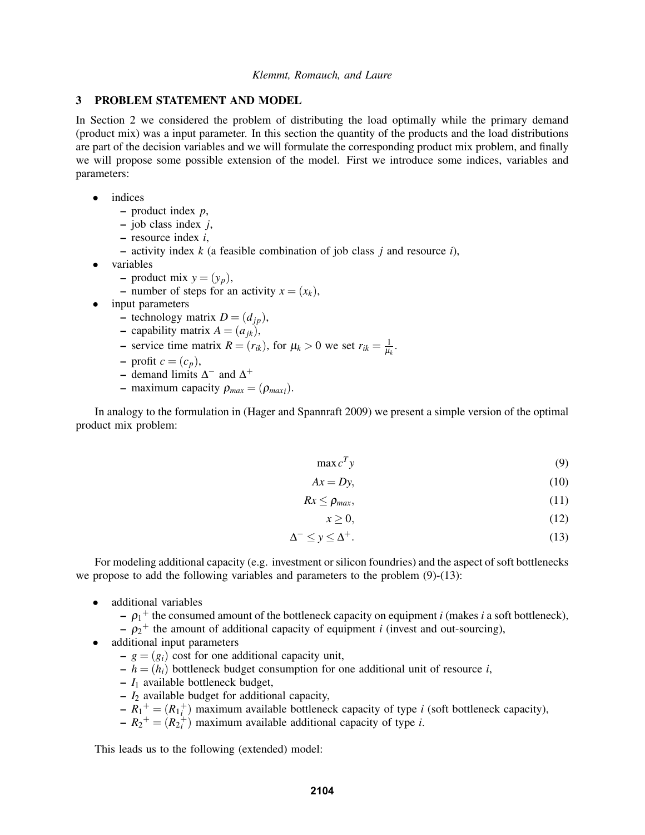#### 3 PROBLEM STATEMENT AND MODEL

In Section 2 we considered the problem of distributing the load optimally while the primary demand (product mix) was a input parameter. In this section the quantity of the products and the load distributions are part of the decision variables and we will formulate the corresponding product mix problem, and finally we will propose some possible extension of the model. First we introduce some indices, variables and parameters:

- indices
	- product index *p*,
	- job class index *j*,
	- resource index *i*,
	- activity index *k* (a feasible combination of job class *j* and resource *i*),
- variables
	- $-$  product mix  $y = (y_p)$ ,
	- number of steps for an activity  $x = (x_k)$ ,
- input parameters
	- technology matrix  $D = (d_{jp})$ ,
	- capability matrix  $A = (a_{jk})$ ,
	- $\blacksquare$  service time matrix  $R = (r_{ik})$ , for  $\mu_k > 0$  we set  $r_{ik} = \frac{1}{m}$  $\frac{1}{\mu_k}$ .
	- $-$  profit  $c = (c_p)$ ,
	- demand limits  $\Delta^-$  and  $\Delta^+$
	- $-$  maximum capacity  $\rho_{max} = (\rho_{max_i}).$

In analogy to the formulation in (Hager and Spannraft 2009) we present a simple version of the optimal product mix problem:

$$
\max c^T y \tag{9}
$$

$$
Ax = Dy,\tag{10}
$$

$$
Rx \le \rho_{max},\tag{11}
$$

$$
x \ge 0,\tag{12}
$$

$$
\Delta^{-} \le y \le \Delta^{+}.\tag{13}
$$

For modeling additional capacity (e.g. investment or silicon foundries) and the aspect of soft bottlenecks we propose to add the following variables and parameters to the problem  $(9)-(13)$ :

- additional variables
	- $\rho_1^+$  the consumed amount of the bottleneck capacity on equipment *i* (makes *i* a soft bottleneck),
	- $-\rho_2$ <sup>+</sup> the amount of additional capacity of equipment *i* (invest and out-sourcing),
- additional input parameters
	- $-g = (g_i)$  cost for one additional capacity unit,
	- $h = (h_i)$  bottleneck budget consumption for one additional unit of resource *i*,
	- $-I_1$  available bottleneck budget,
	- $-I_2$  available budget for additional capacity,
	- $-R_1^+ = (R_1^+)_i$  maximum available bottleneck capacity of type *i* (soft bottleneck capacity),
	- $-R_2^+ = (R_2^+)^+$  maximum available additional capacity of type *i*.

This leads us to the following (extended) model: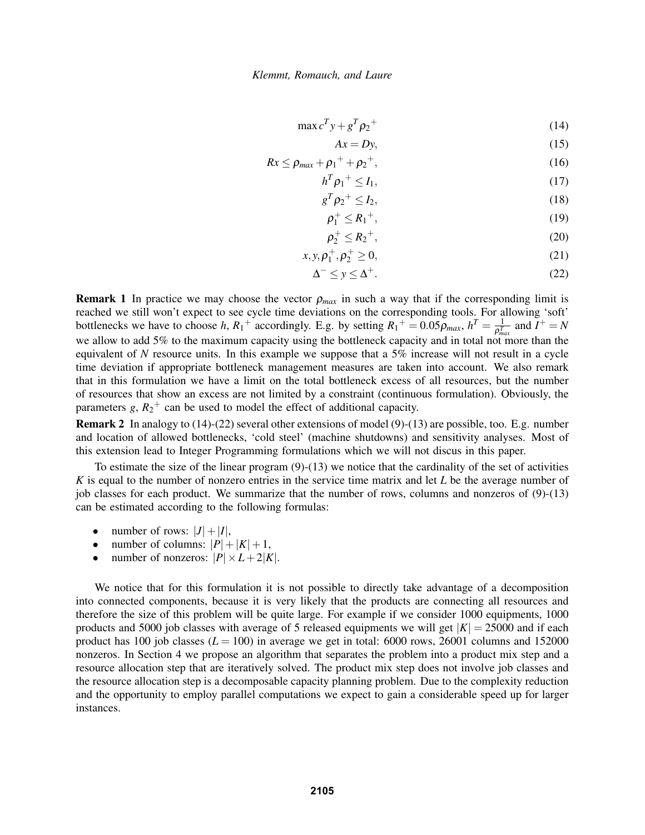$$
\max c^T y + g^T \rho_2^+ \tag{14}
$$

$$
Ax = Dy,\tag{15}
$$

$$
Rx \le \rho_{max} + {\rho_1}^+ + {\rho_2}^+, \tag{16}
$$

$$
h^T \rho_1^+ \le I_1,\tag{17}
$$

$$
g^T \rho_2^+ \le I_2,\tag{18}
$$

$$
\rho_1^+ \le R_1^+, \tag{19}
$$

$$
\rho_2^+ \le R_2^+, \tag{20}
$$

$$
x, y, \rho_1^+, \rho_2^+ \ge 0,\tag{21}
$$

$$
\Delta^{-} \leq y \leq \Delta^{+}.\tag{22}
$$

**Remark 1** In practice we may choose the vector  $\rho_{max}$  in such a way that if the corresponding limit is reached we still won't expect to see cycle time deviations on the corresponding tools. For allowing 'soft' bottlenecks we have to choose *h*,  $R_1$ <sup>+</sup> accordingly. E.g. by setting  $R_1$ <sup>+</sup> = 0.05 $\rho_{max}$ ,  $h^T = \frac{1}{\rho^T}$  $\frac{1}{\rho_{max}^T}$  and  $I^+ = N$ we allow to add 5% to the maximum capacity using the bottleneck capacity and in total not more than the equivalent of N resource units. In this example we suppose that a 5% increase will not result in a cycle time deviation if appropriate bottleneck management measures are taken into account. We also remark that in this formulation we have a limit on the total bottleneck excess of all resources, but the number of resources that show an excess are not limited by a constraint (continuous formulation). Obviously, the parameters  $g, R_2^+$  can be used to model the effect of additional capacity.

Remark 2 In analogy to (14)-(22) several other extensions of model (9)-(13) are possible, too. E.g. number and location of allowed bottlenecks, 'cold steel' (machine shutdowns) and sensitivity analyses. Most of this extension lead to Integer Programming formulations which we will not discus in this paper.

To estimate the size of the linear program (9)-(13) we notice that the cardinality of the set of activities *K* is equal to the number of nonzero entries in the service time matrix and let *L* be the average number of job classes for each product. We summarize that the number of rows, columns and nonzeros of (9)-(13) can be estimated according to the following formulas:

- number of rows:  $|J|+|I|$ ,
- number of columns:  $|P|+|K|+1$ ,
- number of nonzeros:  $|P| \times L + 2|K|$ .

We notice that for this formulation it is not possible to directly take advantage of a decomposition into connected components, because it is very likely that the products are connecting all resources and therefore the size of this problem will be quite large. For example if we consider 1000 equipments, 1000 products and 5000 job classes with average of 5 released equipments we will get  $|K| = 25000$  and if each product has 100 job classes  $(L = 100)$  in average we get in total: 6000 rows, 26001 columns and 152000 nonzeros. In Section 4 we propose an algorithm that separates the problem into a product mix step and a resource allocation step that are iteratively solved. The product mix step does not involve job classes and the resource allocation step is a decomposable capacity planning problem. Due to the complexity reduction and the opportunity to employ parallel computations we expect to gain a considerable speed up for larger instances.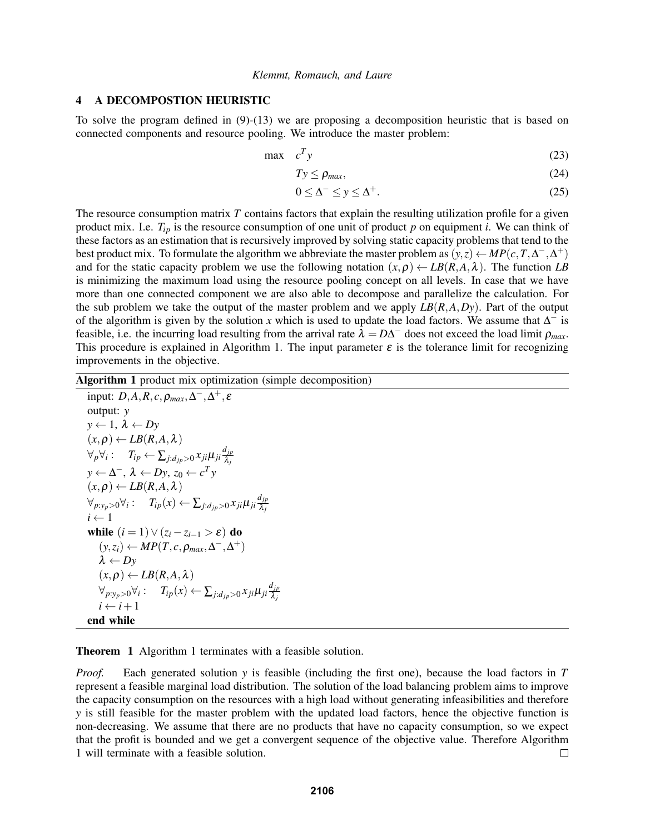#### 4 A DECOMPOSTION HEURISTIC

To solve the program defined in (9)-(13) we are proposing a decomposition heuristic that is based on connected components and resource pooling. We introduce the master problem:

$$
\max \quad c^T y \tag{23}
$$

$$
Ty \le \rho_{max},\tag{24}
$$

$$
0 \le \Delta^- \le y \le \Delta^+.
$$
\n<sup>(25)</sup>

The resource consumption matrix *T* contains factors that explain the resulting utilization profile for a given product mix. I.e. *Tip* is the resource consumption of one unit of product *p* on equipment *i*. We can think of these factors as an estimation that is recursively improved by solving static capacity problems that tend to the best product mix. To formulate the algorithm we abbreviate the master problem as  $(y, z) \leftarrow MP(c, T, \Delta^-, \Delta^+)$ and for the static capacity problem we use the following notation  $(x, \rho) \leftarrow LB(R, A, \lambda)$ . The function LB is minimizing the maximum load using the resource pooling concept on all levels. In case that we have more than one connected component we are also able to decompose and parallelize the calculation. For the sub problem we take the output of the master problem and we apply *LB*(*R*,*A*,*Dy*). Part of the output of the algorithm is given by the solution *x* which is used to update the load factors. We assume that  $\Delta^{-}$  is feasible, i.e. the incurring load resulting from the arrival rate  $\lambda = D\Delta^-$  does not exceed the load limit  $\rho_{max}$ . This procedure is explained in Algorithm 1. The input parameter  $\varepsilon$  is the tolerance limit for recognizing improvements in the objective.

Algorithm 1 product mix optimization (simple decomposition)

input:  $D, A, R, c, \rho_{max}, \Delta^-, \Delta^+, \varepsilon$ output: *y*  $y \leftarrow 1, \lambda \leftarrow Dy$  $(x, \rho) \leftarrow LB(R, A, \lambda)$  $\forall p \forall i: I_{ip} \leftarrow \sum_{j:d_{jp}>0} x_{ji} \mu_{ji} \frac{d_{jp}}{\lambda_i}$ λ*j y* ←  $\Delta^-$ ,  $\lambda$  ← *Dy*,  $z_0$  ←  $c^T y$  $(x, \rho) \leftarrow LB(R, A, \lambda)$  $\forall p: y_p > 0 \forall i: T_{ip}(x) \leftarrow \sum_{j:d_{jp} > 0} x_{ji} \mu_{ji} \frac{d_{jp}}{\lambda_i}$ λ*j*  $i \leftarrow 1$ while  $(i = 1) \vee (z_i - z_{i-1} > \varepsilon)$  do  $(y, z_i) \leftarrow MP(T, c, \rho_{max}, \Delta^-, \Delta^+)$  $\lambda \leftarrow Dv$  $(x, \rho) \leftarrow LB(R, A, \lambda)$  $\forall p: y_p > 0 \forall i: \quad T_{ip}(x) \leftarrow \sum_{j:d_{jp} > 0} x_{ji} \mu_{ji} \frac{d_{jp}}{\lambda_i}$ λ*j*  $i \leftarrow i+1$ end while

Theorem 1 Algorithm 1 terminates with a feasible solution.

*Proof.* Each generated solution *y* is feasible (including the first one), because the load factors in *T* represent a feasible marginal load distribution. The solution of the load balancing problem aims to improve the capacity consumption on the resources with a high load without generating infeasibilities and therefore *y* is still feasible for the master problem with the updated load factors, hence the objective function is non-decreasing. We assume that there are no products that have no capacity consumption, so we expect that the profit is bounded and we get a convergent sequence of the objective value. Therefore Algorithm 1 will terminate with a feasible solution.  $\Box$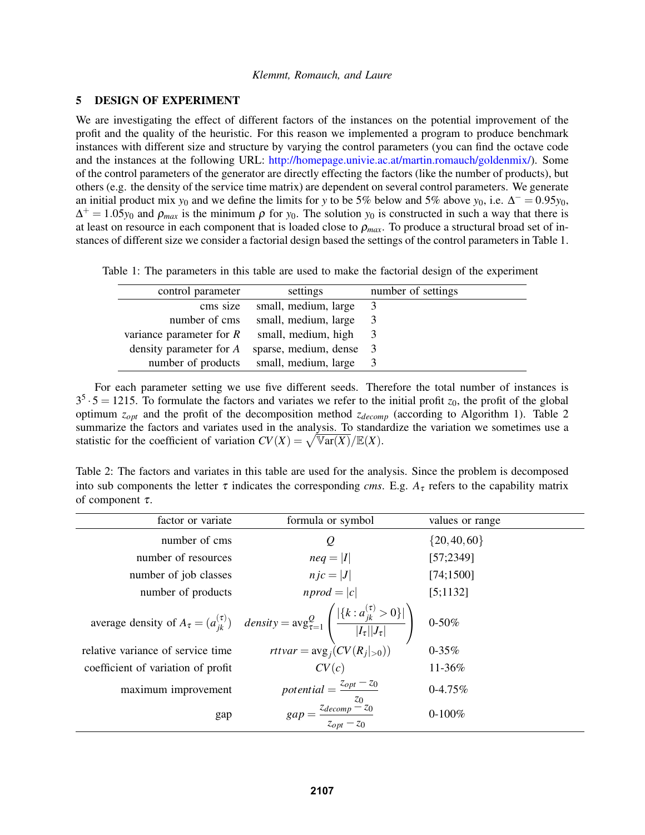#### 5 DESIGN OF EXPERIMENT

We are investigating the effect of different factors of the instances on the potential improvement of the profit and the quality of the heuristic. For this reason we implemented a program to produce benchmark instances with different size and structure by varying the control parameters (you can find the octave code and the instances at the following URL: http://homepage.univie.ac.at/martin.romauch/goldenmix/). Some of the control parameters of the generator are directly effecting the factors (like the number of products), but others (e.g. the density of the service time matrix) are dependent on several control parameters. We generate an initial product mix  $y_0$  and we define the limits for *y* to be 5% below and 5% above  $y_0$ , i.e.  $\Delta^+ = 0.95y_0$ ,  $\Delta^+ = 1.05y_0$  and  $\rho_{max}$  is the minimum  $\rho$  for  $y_0$ . The solution  $y_0$  is constructed in such a way that there is at least on resource in each component that is loaded close to  $\rho_{max}$ . To produce a structural broad set of instances of different size we consider a factorial design based the settings of the control parameters in Table 1.

Table 1: The parameters in this table are used to make the factorial design of the experiment

| control parameter          | settings                | number of settings |  |
|----------------------------|-------------------------|--------------------|--|
| cms size                   | small, medium, large    | - 3                |  |
| number of cms              | small, medium, large    | - 3                |  |
| variance parameter for $R$ | small, medium, high     | - 3                |  |
| density parameter for A    | sparse, medium, dense 3 |                    |  |
| number of products         | small, medium, large    | - 3                |  |

For each parameter setting we use five different seeds. Therefore the total number of instances is  $3<sup>5</sup> \cdot 5 = 1215$ . To formulate the factors and variates we refer to the initial profit  $z_0$ , the profit of the global optimum *zopt* and the profit of the decomposition method *zdecomp* (according to Algorithm 1). Table 2 summarize the factors and variates used in the analysis. To standardize the variation we sometimes use a statistic for the coefficient of variation  $CV(X) = \sqrt{Var(X)} / E(X)$ .

Table 2: The factors and variates in this table are used for the analysis. Since the problem is decomposed into sub components the letter  $\tau$  indicates the corresponding *cms*. E.g.  $A_{\tau}$  refers to the capability matrix of component  $\tau$ .

| factor or variate                  | formula or symbol                                                                                                                                                          | values or range  |
|------------------------------------|----------------------------------------------------------------------------------------------------------------------------------------------------------------------------|------------------|
| number of cms                      | $\mathcal{Q}$                                                                                                                                                              | $\{20, 40, 60\}$ |
| number of resources                | $neq =  I $                                                                                                                                                                | [57;2349]        |
| number of job classes              | $njc =  J $                                                                                                                                                                | [74;1500]        |
| number of products                 | $nprod =  c $                                                                                                                                                              | [5;1132]         |
|                                    | average density of $A_{\tau} = (a_{jk}^{(\tau)})$ density $= \text{avg}_{\tau=1}^{\mathcal{Q}} \left( \frac{ \{k : a_{jk}^{(\tau)} > 0\} }{ I_{\tau}   J_{\tau} } \right)$ | $0 - 50\%$       |
| relative variance of service time  | rttvar = $\arg_i(CV(R_j _{>0}))$                                                                                                                                           | $0 - 35\%$       |
| coefficient of variation of profit | CV(c)                                                                                                                                                                      | 11-36%           |
| maximum improvement                |                                                                                                                                                                            | $0-4.75%$        |
| gap                                | potential = $\frac{z_{opt} - z_0}{z_0}$<br>$gap = \frac{z_{decomp} - z_0}{z_{opt} - z_0}$                                                                                  | $0-100%$         |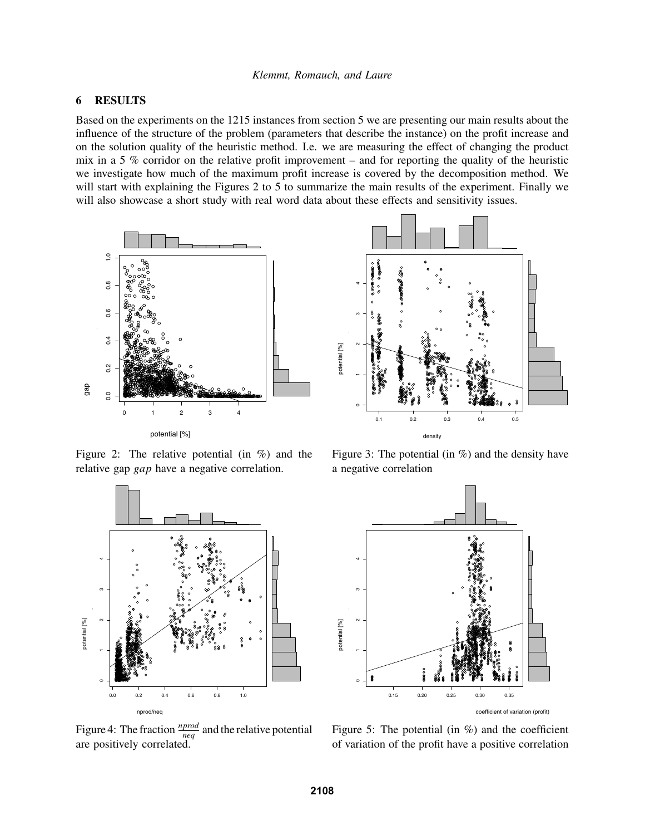## 6 RESULTS

Based on the experiments on the 1215 instances from section 5 we are presenting our main results about the influence of the structure of the problem (parameters that describe the instance) on the profit increase and on the solution quality of the heuristic method. I.e. we are measuring the effect of changing the product mix in a 5 % corridor on the relative profit improvement – and for reporting the quality of the heuristic we investigate how much of the maximum profit increase is covered by the decomposition method. We will start with explaining the Figures 2 to 5 to summarize the main results of the experiment. Finally we will also showcase a short study with real word data about these effects and sensitivity issues.



0.1 0.2 0.3 0.4 0.5 4 -<br>0 2 -<br>0 -<br>0 y density potential [%]

Figure 2: The relative potential (in %) and the relative gap *gap* have a negative correlation.



Figure 3: The potential (in %) and the density have a negative correlation



Figure 4: The fraction  $\frac{nprod}{neq}$  and the relative potential are positively correlated.

Figure 5: The potential (in  $\%$ ) and the coefficient of variation of the profit have a positive correlation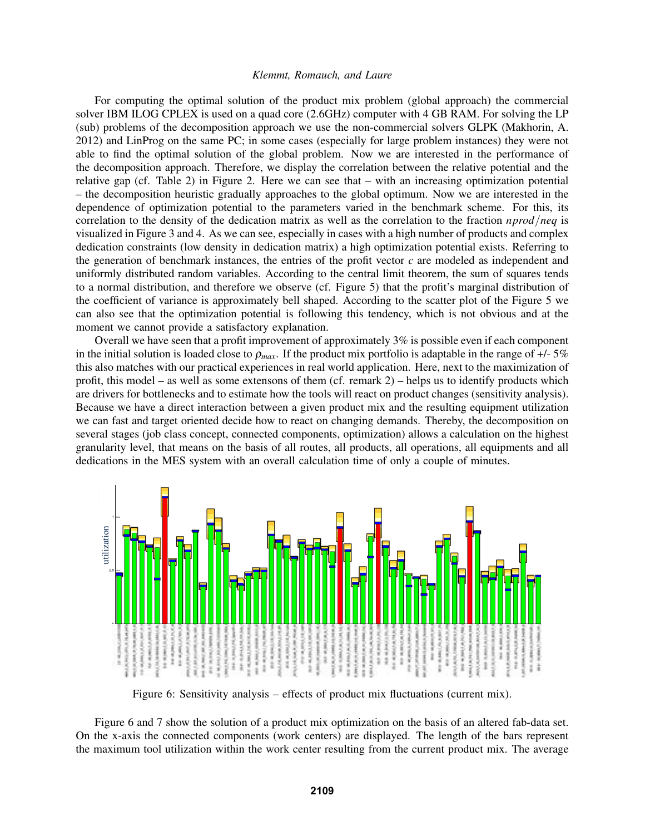For computing the optimal solution of the product mix problem (global approach) the commercial solver IBM ILOG CPLEX is used on a quad core (2.6GHz) computer with 4 GB RAM. For solving the LP (sub) problems of the decomposition approach we use the non-commercial solvers GLPK (Makhorin, A. 2012) and LinProg on the same PC; in some cases (especially for large problem instances) they were not able to find the optimal solution of the global problem. Now we are interested in the performance of the decomposition approach. Therefore, we display the correlation between the relative potential and the relative gap (cf. Table 2) in Figure 2. Here we can see that – with an increasing optimization potential – the decomposition heuristic gradually approaches to the global optimum. Now we are interested in the dependence of optimization potential to the parameters varied in the benchmark scheme. For this, its correlation to the density of the dedication matrix as well as the correlation to the fraction *nprod*/*neq* is visualized in Figure 3 and 4. As we can see, especially in cases with a high number of products and complex dedication constraints (low density in dedication matrix) a high optimization potential exists. Referring to the generation of benchmark instances, the entries of the profit vector *c* are modeled as independent and uniformly distributed random variables. According to the central limit theorem, the sum of squares tends to a normal distribution, and therefore we observe (cf. Figure 5) that the profit's marginal distribution of the coefficient of variance is approximately bell shaped. According to the scatter plot of the Figure 5 we can also see that the optimization potential is following this tendency, which is not obvious and at the moment we cannot provide a satisfactory explanation.

Overall we have seen that a profit improvement of approximately 3% is possible even if each component in the initial solution is loaded close to  $\rho_{max}$ . If the product mix portfolio is adaptable in the range of  $+/-5\%$ this also matches with our practical experiences in real world application. Here, next to the maximization of profit, this model – as well as some extensons of them (cf. remark  $2$ ) – helps us to identify products which are drivers for bottlenecks and to estimate how the tools will react on product changes (sensitivity analysis). Because we have a direct interaction between a given product mix and the resulting equipment utilization we can fast and target oriented decide how to react on changing demands. Thereby, the decomposition on several stages (job class concept, connected components, optimization) allows a calculation on the highest granularity level, that means on the basis of all routes, all products, all operations, all equipments and all dedications in the MES system with an overall calculation time of only a couple of minutes.



Figure 6: Sensitivity analysis – effects of product mix fluctuations (current mix).

Figure 6 and 7 show the solution of a product mix optimization on the basis of an altered fab-data set. On the x-axis the connected components (work centers) are displayed. The length of the bars represent the maximum tool utilization within the work center resulting from the current product mix. The average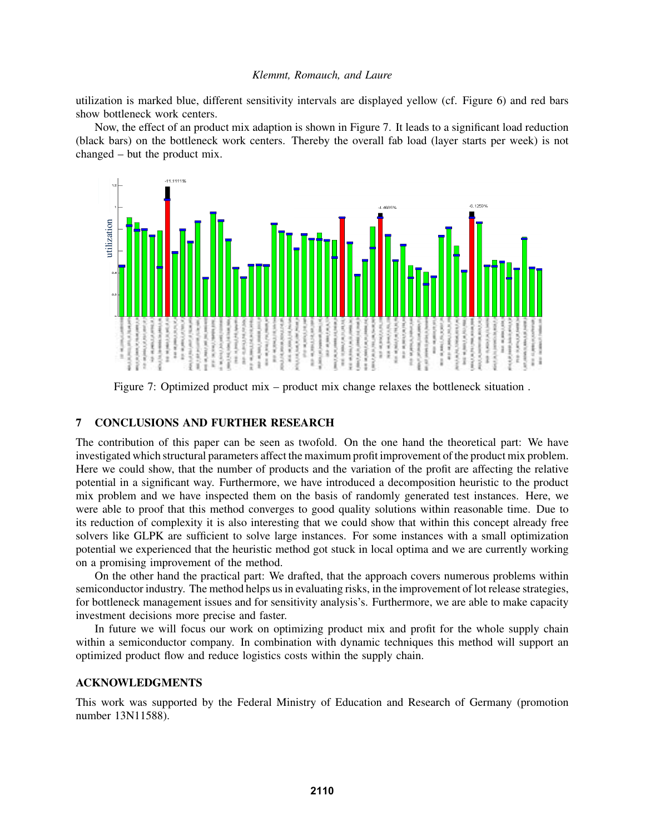utilization is marked blue, different sensitivity intervals are displayed yellow (cf. Figure 6) and red bars show bottleneck work centers.

Now, the effect of an product mix adaption is shown in Figure 7. It leads to a significant load reduction (black bars) on the bottleneck work centers. Thereby the overall fab load (layer starts per week) is not changed – but the product mix.



Figure 7: Optimized product mix – product mix change relaxes the bottleneck situation .

### 7 CONCLUSIONS AND FURTHER RESEARCH

The contribution of this paper can be seen as twofold. On the one hand the theoretical part: We have investigated which structural parameters affect the maximum profit improvement of the product mix problem. Here we could show, that the number of products and the variation of the profit are affecting the relative potential in a significant way. Furthermore, we have introduced a decomposition heuristic to the product mix problem and we have inspected them on the basis of randomly generated test instances. Here, we were able to proof that this method converges to good quality solutions within reasonable time. Due to its reduction of complexity it is also interesting that we could show that within this concept already free solvers like GLPK are sufficient to solve large instances. For some instances with a small optimization potential we experienced that the heuristic method got stuck in local optima and we are currently working on a promising improvement of the method.

On the other hand the practical part: We drafted, that the approach covers numerous problems within semiconductor industry. The method helps us in evaluating risks, in the improvement of lot release strategies, for bottleneck management issues and for sensitivity analysis's. Furthermore, we are able to make capacity investment decisions more precise and faster.

In future we will focus our work on optimizing product mix and profit for the whole supply chain within a semiconductor company. In combination with dynamic techniques this method will support an optimized product flow and reduce logistics costs within the supply chain.

### ACKNOWLEDGMENTS

This work was supported by the Federal Ministry of Education and Research of Germany (promotion number 13N11588).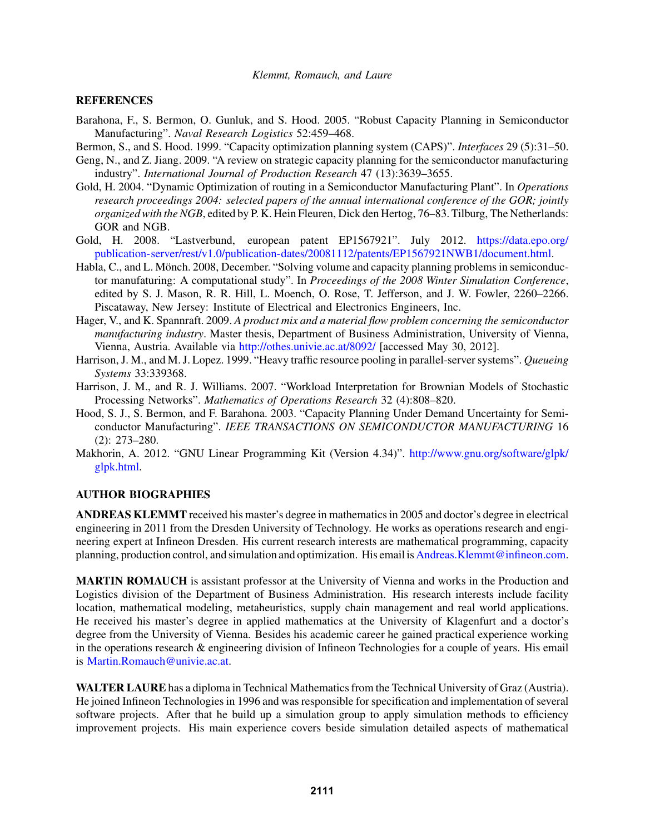#### **REFERENCES**

- Barahona, F., S. Bermon, O. Gunluk, and S. Hood. 2005. "Robust Capacity Planning in Semiconductor Manufacturing". *Naval Research Logistics* 52:459–468.
- Bermon, S., and S. Hood. 1999. "Capacity optimization planning system (CAPS)". *Interfaces* 29 (5):31–50.
- Geng, N., and Z. Jiang. 2009. "A review on strategic capacity planning for the semiconductor manufacturing industry". *International Journal of Production Research* 47 (13):3639–3655.
- Gold, H. 2004. "Dynamic Optimization of routing in a Semiconductor Manufacturing Plant". In *Operations research proceedings 2004: selected papers of the annual international conference of the GOR; jointly organized with the NGB*, edited by P. K. Hein Fleuren, Dick den Hertog, 76–83. Tilburg, The Netherlands: GOR and NGB.
- Gold, H. 2008. "Lastverbund, european patent EP1567921". July 2012. https://data.epo.org/ publication-server/rest/v1.0/publication-dates/20081112/patents/EP1567921NWB1/document.html.
- Habla, C., and L. Mönch. 2008, December. "Solving volume and capacity planning problems in semiconductor manufaturing: A computational study". In *Proceedings of the 2008 Winter Simulation Conference*, edited by S. J. Mason, R. R. Hill, L. Moench, O. Rose, T. Jefferson, and J. W. Fowler, 2260–2266. Piscataway, New Jersey: Institute of Electrical and Electronics Engineers, Inc.
- Hager, V., and K. Spannraft. 2009. *A product mix and a material flow problem concerning the semiconductor manufacturing industry*. Master thesis, Department of Business Administration, University of Vienna, Vienna, Austria. Available via http://othes.univie.ac.at/8092/ [accessed May 30, 2012].
- Harrison, J. M., and M. J. Lopez. 1999. "Heavy traffic resource pooling in parallel-server systems". *Queueing Systems* 33:339368.
- Harrison, J. M., and R. J. Williams. 2007. "Workload Interpretation for Brownian Models of Stochastic Processing Networks". *Mathematics of Operations Research* 32 (4):808–820.
- Hood, S. J., S. Bermon, and F. Barahona. 2003. "Capacity Planning Under Demand Uncertainty for Semiconductor Manufacturing". *IEEE TRANSACTIONS ON SEMICONDUCTOR MANUFACTURING* 16 (2): 273–280.
- Makhorin, A. 2012. "GNU Linear Programming Kit (Version 4.34)". http://www.gnu.org/software/glpk/ glpk.html.

#### AUTHOR BIOGRAPHIES

ANDREAS KLEMMT received his master's degree in mathematics in 2005 and doctor's degree in electrical engineering in 2011 from the Dresden University of Technology. He works as operations research and engineering expert at Infineon Dresden. His current research interests are mathematical programming, capacity planning, production control, and simulation and optimization. His email is Andreas.Klemmt@infineon.com.

MARTIN ROMAUCH is assistant professor at the University of Vienna and works in the Production and Logistics division of the Department of Business Administration. His research interests include facility location, mathematical modeling, metaheuristics, supply chain management and real world applications. He received his master's degree in applied mathematics at the University of Klagenfurt and a doctor's degree from the University of Vienna. Besides his academic career he gained practical experience working in the operations research & engineering division of Infineon Technologies for a couple of years. His email is Martin.Romauch@univie.ac.at.

WALTER LAURE has a diploma in Technical Mathematics from the Technical University of Graz (Austria). He joined Infineon Technologies in 1996 and was responsible for specification and implementation of several software projects. After that he build up a simulation group to apply simulation methods to efficiency improvement projects. His main experience covers beside simulation detailed aspects of mathematical